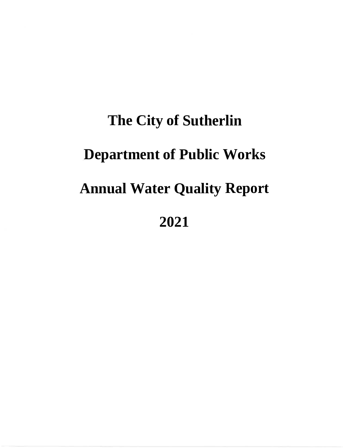# **The City of Sutherlin Department of Public Works** \* **Annual Water Quality Report .2021**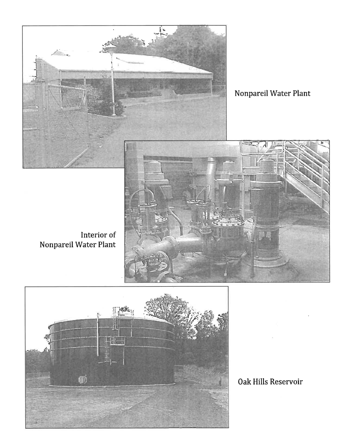

Nonpareil Water Plant

Interior of Nonpareil Water Plant





Oak Hills Reservoir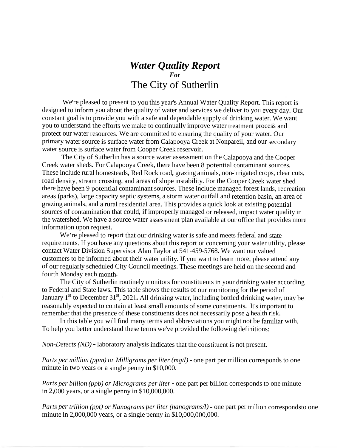#### *Water Quality Report For* The City of Sutherlin

We're pleased to present to you this year's Annual Water Quality Report. This report is designed to inform you about the quality of water and services we deliver to you every day. Our constant goal is to provide you with a safe and dependable supply of drinking water. We want you to understand the efforts we make to continually improve water treatment process and protect our water resources. We are committed to ensuring the quality of your water. Our primary water source is surface water from Calapooya Creek at Nonpareil, and our secondary water source is surface water from Cooper Creek reservoir.

The City of Sutherlin has a source water assessment on the Calapooya and the Cooper Creek water sheds. For Calapooya Creek, there have been 8 potential contaminant sources. These include rural homesteads, Red Rock road, grazing animals, non-irrigated crops, clear cuts, road density, stream crossing, and areas of slope instability. For the Cooper Creek water shed there have been 9 potential contaminant sources. These include managed forest lands, recreation areas (parks), large capacity septic systems, a storm water outfall and retention basin, an area of grazing animals, and a rural residential area. This provides a quick look at existing potential sources of contamination that could, if improperly managed or released, impact water quality in the watershed. We have a source water assessment plan available at our office that provides more information upon request.

We're pleased to report that our drinking water is safe and meets federal and state requirements. If you have any questions about this report or concerning your water utility, please contact Water Division Supervisor Alan Taylor at <sup>541</sup>-459-5768.We want our valued customers to be informed about their water utility. If you want to learn more, please attend any of our regularly scheduled City Council meetings. These meetings are held on the second and fourth Monday each month.

The City of Sutherlin routinely monitors for constituents in your drinking water according to Federal and State laws. This table shows the results of our monitoring for the period of to rederal and state laws. This table shows the results of our monitoring for the period of the state laws. This table shows the results of our monitoring for the period of reasonably expected to contain at least small amounts of some constituents. It's important to remember that the presence of these constituents does not necessarily pose a health risk.

In this table you will find many terms and abbreviations you might not be familiar with. To help you better understand these terms we've provided the following definitions:

*Non-Detects (ND)* - laboratory analysis indicates that the constituent is not present.

*Parts per million (ppm) or Milligrams per liter (mg/l)*- one part per million corresponds to one minute in two years or a single penny in \$10,000.

*Parts per billion (ppb) or Micrograms per liter -* one part per billion corresponds to one minute in 2,000 years, or a single penny in \$10,000,000.

*Parts per trillion (ppt) or Nanograms per liter (nanograms/l)*- one part per trillion correspondsto one minute in 2,000,000 years, or a single penny in \$10,000,000,000.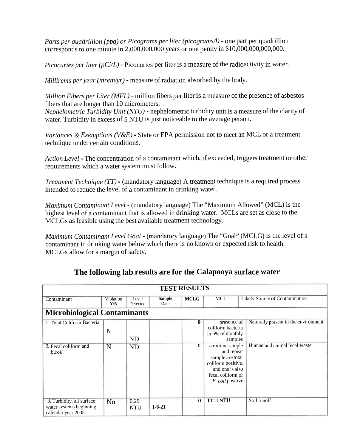*Parts per quadrillion (ppq) or Picograms per liter (picograms/l)* - one par<sup>t</sup> per quadrillion corresponds to one minute in <sup>2</sup>,000,000,000 years or one penny in \$10,000,000,000,000.

*Picocuries per liter (pCi/L)* - Picocuries per liter is <sup>a</sup> measure of the radioactivity in water.

*Millirems per year (mrem/yr) -* measure of radiation absorbed by the body.

*Million Fibers per Liter (MFL)* - million fibers per liter is <sup>a</sup> measure of the presence of asbestos fibers that are longer than 10 micrometers.

*Nephelometric Turbidity Unit (NTU) -* nephelometric turbidity unit is <sup>a</sup> measure of the clarity of water. Turbidity in excess of 5 NTU is just noticeable to the average person.

*Variances & Exemptions (V&E) -* State or EPA permission not to meet an MCL or <sup>a</sup> treatment technique under certain conditions.

*Action Level* - The concentration of <sup>a</sup> contaminant which, if exceeded, triggers treatment or other requirements which <sup>a</sup> water system must follow.

*Treatment Technique (TT) -* (mandatory language) <sup>A</sup> treatment technique is <sup>a</sup> required process intended to reduce the level of <sup>a</sup> contaminant in drinking water.

*Maximum Contaminant Level* - (mandatory language) The "Maximum Allowed" (MCL) is the highest level of <sup>a</sup> contaminant that is allowed in drinking water. MCLs are set as close to the MCLGs as feasible using the best available treatment technology.

*Maximum Contaminant Level Goal* - (mandatory language) The "Goal" (MCLG) is the level of <sup>a</sup> contaminant in drinking water below which there is no known or expected risk to health. MCLGs allow for <sup>a</sup> margin of safety.

| <b>TEST RESULTS</b>                                                        |                  |                    |                       |              |                                                                                                                                      |                                      |  |
|----------------------------------------------------------------------------|------------------|--------------------|-----------------------|--------------|--------------------------------------------------------------------------------------------------------------------------------------|--------------------------------------|--|
| Contaminant                                                                | Violation<br>Y/N | Level<br>Detected  | <b>Sample</b><br>Date | <b>MCLG</b>  | <b>MCL</b>                                                                                                                           | Likely Source of Contamination       |  |
| <b>Microbiological Contaminants</b>                                        |                  |                    |                       |              |                                                                                                                                      |                                      |  |
| 1. Total Coliform Bacteria                                                 | N                | <b>ND</b>          |                       | $\mathbf{0}$ | presence of<br>coliform bacteria<br>in 5% of monthly<br>samples                                                                      | Naturally present in the environment |  |
| 2. Fecal coliform and<br>E.coli                                            | N                | <b>ND</b>          |                       | $\Omega$     | a routine sample<br>and repeat<br>sample are total<br>coliform positive,<br>and one is also<br>fecal coliform or<br>E. coli positive | Human and animal fecal waste         |  |
| 3. Turbidity, all surface<br>water systems beginning<br>calendar year 2005 | N <sub>o</sub>   | 0.29<br><b>NTU</b> | $1 - 6 - 21$          | $\mathbf{0}$ | TT=1 NTU                                                                                                                             | Soil runoff                          |  |

#### **The following lab results are for the Calapooya surface water**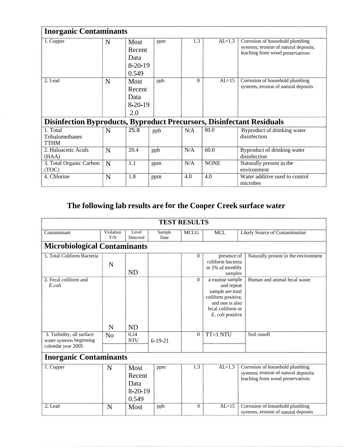| <b>Inorganic Contaminants</b>                                                |   |                                                   |     |          |             |                                                                                                              |  |  |
|------------------------------------------------------------------------------|---|---------------------------------------------------|-----|----------|-------------|--------------------------------------------------------------------------------------------------------------|--|--|
| 1. Copper                                                                    | N | Most<br>Recent<br>Data<br>$8-20-19$<br>0.549      | ppm | 1.3      | $AL=1.3$    | Corrosion of household plumbing<br>systems; erosion of natural deposits;<br>leaching from wood preservatives |  |  |
| 2. Lead                                                                      | N | <b>Most</b><br>Recent<br>Data<br>$8-20-19$<br>2.0 | ppb | $\Omega$ | $AL=15$     | Corrosion of household plumbing<br>systems, erosion of natural deposits                                      |  |  |
| <b>Disinfection Byproducts, Byproduct Precursors, Disinfectant Residuals</b> |   |                                                   |     |          |             |                                                                                                              |  |  |
| 1. Total<br>Trihalomethanes<br><b>TTHM</b>                                   | N | 25.8                                              | ppb | N/A      | 80.0        | Byproduct of drinking water<br>disinfection                                                                  |  |  |
| 2. Haloacetic Acids<br>(HAA)                                                 | N | 20.4                                              | ppb | N/A      | 60.0        | Byproduct of drinking water<br>disinfection                                                                  |  |  |
| 3. Total Organic Carbon<br>(TOC)                                             | N | 1.1                                               | ppm | N/A      | <b>NONE</b> | Naturally present in the<br>environment                                                                      |  |  |
| 4. Chlorine                                                                  | N | 1.8                                               | ppm | 4.0      | 4.0         | Water additive used to control<br>microbes                                                                   |  |  |

### **The following lab results are for the Cooper Creek surface water**

| <b>TEST RESULTS</b>                                                        |                  |                                              |                |                |                                                                                                                                      |                                                                                                              |  |  |
|----------------------------------------------------------------------------|------------------|----------------------------------------------|----------------|----------------|--------------------------------------------------------------------------------------------------------------------------------------|--------------------------------------------------------------------------------------------------------------|--|--|
| Contaminant                                                                | Violation<br>Y/N | Level<br>Detected                            | Sample<br>Date | <b>MCLG</b>    | <b>MCL</b>                                                                                                                           | Likely Source of Contamination                                                                               |  |  |
| <b>Microbiological Contaminants</b>                                        |                  |                                              |                |                |                                                                                                                                      |                                                                                                              |  |  |
| 1. Total Coliform Bacteria                                                 | N                | <b>ND</b>                                    |                | $\Omega$       | presence of<br>coliform bacteria<br>in 5% of monthly<br>samples                                                                      | Naturally present in the environment                                                                         |  |  |
| 2. Fecal coliform and<br>E.coli                                            | N                | N <sub>D</sub>                               |                | $\Omega$       | a routine sample<br>and repeat<br>sample are total<br>coliform positive,<br>and one is also<br>fecal coliform or<br>E. coli positive | Human and animal fecal waste                                                                                 |  |  |
| 3. Turbidity, all surface<br>water systems beginning<br>calendar year 2005 | N <sub>o</sub>   | 0.24<br><b>NTU</b>                           | $6-19-21$      | $\overline{0}$ | TT=1 NTU                                                                                                                             | Soil runoff                                                                                                  |  |  |
| <b>Inorganic Contaminants</b>                                              |                  |                                              |                |                |                                                                                                                                      |                                                                                                              |  |  |
| 1. Copper                                                                  | N                | Most<br>Recent<br>Data<br>$8-20-19$<br>0.549 | ppm            | 1.3            | $AL=1.3$                                                                                                                             | Corrosion of household plumbing<br>systems; erosion of natural deposits;<br>leaching from wood preservatives |  |  |
| 2. Lead                                                                    | N                | Most                                         | ppb            | $\Omega$       | $AL=15$                                                                                                                              | Corrosion of household plumbing<br>systems, erosion of natural deposits                                      |  |  |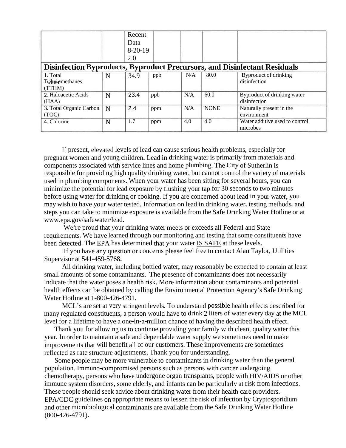|                                                                                  |   | Recent    |     |     |             |                                |  |
|----------------------------------------------------------------------------------|---|-----------|-----|-----|-------------|--------------------------------|--|
|                                                                                  |   | Data      |     |     |             |                                |  |
|                                                                                  |   | $8-20-19$ |     |     |             |                                |  |
|                                                                                  |   | 2.0       |     |     |             |                                |  |
| <b>Disinfection Byproducts, Byproduct Precursors, and Disinfectant Residuals</b> |   |           |     |     |             |                                |  |
| 1. Total                                                                         | N | 34.9      | ppb | N/A | 80.0        | Byproduct of drinking          |  |
| Twindomethanes                                                                   |   |           |     |     |             | disinfection                   |  |
| (TTHM)                                                                           |   |           |     |     |             |                                |  |
| 2. Haloacetic Acids                                                              | N | 23.4      | ppb | N/A | 60.0        | Byproduct of drinking water    |  |
| (HAA)                                                                            |   |           |     |     |             | disinfection                   |  |
| 3. Total Organic Carbon                                                          | N | 2.4       | ppm | N/A | <b>NONE</b> | Naturally present in the       |  |
| (TOC)                                                                            |   |           |     |     |             | environment                    |  |
| 4. Chlorine                                                                      | N | 1.7       | ppm | 4.0 | 4.0         | Water additive used to control |  |
|                                                                                  |   |           |     |     |             | microbes                       |  |

If present, elevated levels of lead can cause serious health problems, especially for pregnant women and young children. Lead in drinking water is primarily from materials and components associated with service lines and home plumbing. The City of Sutherlin is responsible for providing high quality drinking water, but cannot control the variety of materials used in plumbing components. When your water has been sitting for several hours, you can minimize the potential for lead exposure by flushing your tap for 30 seconds to two minutes before using water for drinking or cooking. If you are concerned about lead in your water, you may wish to have your water tested. Information on lead in drinking water, testing methods, and steps you can take to minimize exposure is available from the Safe Drinking Water Hotline or at www.epa.gov/safewater/lead.

We're proud that your drinking water meets or exceeds all Federal and State requirements. We have learned through our monitoring and testing that some constituents have been detected. The EPA has determined that your water IS SAFE at these levels.

If you have any question or concerns please feel free to contact Alan Taylor, Utilities Supervisor at 541-459-5768.

All drinking water, including bottled water, may reasonably be expected to contain at least small amounts of some contaminants. The presence of contaminants does not necessarily indicate that the water poses a health risk. More information about contaminants and potential health effects can be obtained by calling the Environmental Protection Agency's Safe Drinking Water Hotline at 1-800-426-4791.

MCL's are set at very stringent levels. To understand possible health effects described for many regulated constituents, a person would have to drink 2 liters of water every day at the MCL level for a lifetime to have a one-in-a-million chance of having the described health effect.

Thank you for allowing us to continue providing your family with clean, quality water this year. In order to maintain a safe and dependable water supply we sometimes need to make improvements that will benefit all of our customers. These improvements are sometimes reflected as rate structure adjustments. Thank you for understanding.

Some people may be more vulnerable to contaminants in drinking water than the general population. Immuno-compromised persons such as persons with cancer undergoing chemotherapy, persons who have undergone organ transplants, people with HIV/AIDS or other immune system disorders, some elderly, and infants can be particularly at risk from infections. These people should seek advice about drinking water from their health care providers. EPA/CDC guidelines on appropriate means to lessen the risk of infection by Cryptosporidium (800-426-4791). and other microbiological contaminants are available from the Safe Drinking Water Hotline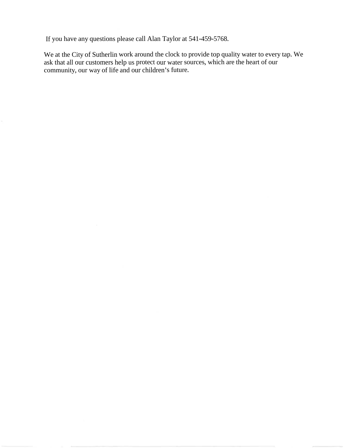If you have any questions please call Alan Taylor at 541-459-5768.

We at the City of Sutherlin work around the clock to provide top quality water to every tap. We ask that all our customers help us protect our water sources, which are the heart of our community, our way of life and our children's future.